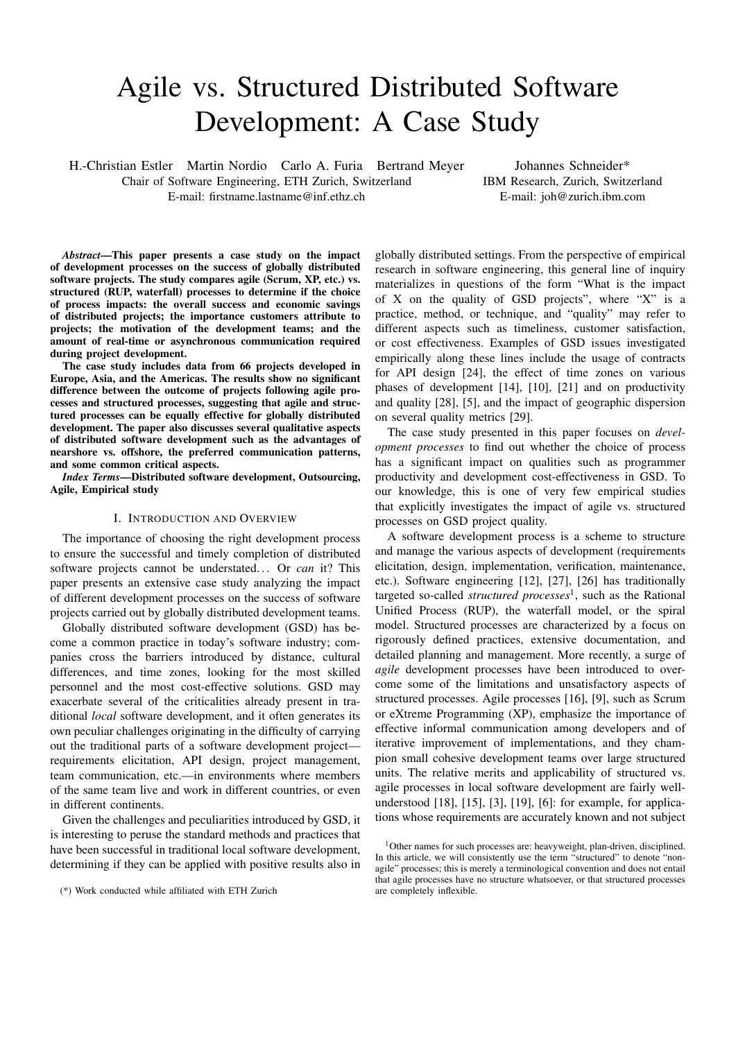# Agile vs. Structured Distributed Software Development: A Case Study

H.-Christian Estler Martin Nordio Carlo A. Furia Bertrand Meyer Chair of Software Engineering, ETH Zurich, Switzerland

E-mail: firstname.lastname@inf.ethz.ch

Johannes Schneider\* IBM Research, Zurich, Switzerland E-mail: joh@zurich.ibm.com

*Abstract*—This paper presents a case study on the impact of development processes on the success of globally distributed software projects. The study compares agile (Scrum, XP, etc.) vs. structured (RUP, waterfall) processes to determine if the choice of process impacts: the overall success and economic savings of distributed projects; the importance customers attribute to projects; the motivation of the development teams; and the amount of real-time or asynchronous communication required during project development.

The case study includes data from 66 projects developed in Europe, Asia, and the Americas. The results show no significant difference between the outcome of projects following agile processes and structured processes, suggesting that agile and structured processes can be equally effective for globally distributed development. The paper also discusses several qualitative aspects of distributed software development such as the advantages of nearshore vs. offshore, the preferred communication patterns, and some common critical aspects.

*Index Terms*—Distributed software development, Outsourcing, Agile, Empirical study

#### I. INTRODUCTION AND OVERVIEW

The importance of choosing the right development process to ensure the successful and timely completion of distributed software projects cannot be understated... Or *can* it? This paper presents an extensive case study analyzing the impact of different development processes on the success of software projects carried out by globally distributed development teams.

Globally distributed software development (GSD) has become a common practice in today's software industry; companies cross the barriers introduced by distance, cultural differences, and time zones, looking for the most skilled personnel and the most cost-effective solutions. GSD may exacerbate several of the criticalities already present in traditional *local* software development, and it often generates its own peculiar challenges originating in the difficulty of carrying out the traditional parts of a software development project requirements elicitation, API design, project management, team communication, etc.—in environments where members of the same team live and work in different countries, or even in different continents.

Given the challenges and peculiarities introduced by GSD, it is interesting to peruse the standard methods and practices that have been successful in traditional local software development, determining if they can be applied with positive results also in

globally distributed settings. From the perspective of empirical research in software engineering, this general line of inquiry materializes in questions of the form "What is the impact of X on the quality of GSD projects", where "X" is a practice, method, or technique, and "quality" may refer to different aspects such as timeliness, customer satisfaction, or cost effectiveness. Examples of GSD issues investigated empirically along these lines include the usage of contracts for API design [24], the effect of time zones on various phases of development [14], [10], [21] and on productivity and quality [28], [5], and the impact of geographic dispersion on several quality metrics [29].

The case study presented in this paper focuses on *development processes* to find out whether the choice of process has a significant impact on qualities such as programmer productivity and development cost-effectiveness in GSD. To our knowledge, this is one of very few empirical studies that explicitly investigates the impact of agile vs. structured processes on GSD project quality.

A software development process is a scheme to structure and manage the various aspects of development (requirements elicitation, design, implementation, verification, maintenance, etc.). Software engineering [12], [27], [26] has traditionally targeted so-called *structured processes*<sup>1</sup>, such as the Rational Unified Process (RUP), the waterfall model, or the spiral model. Structured processes are characterized by a focus on rigorously defined practices, extensive documentation, and detailed planning and management. More recently, a surge of *agile* development processes have been introduced to overcome some of the limitations and unsatisfactory aspects of structured processes. Agile processes [16], [9], such as Scrum or eXtreme Programming (XP), emphasize the importance of effective informal communication among developers and of iterative improvement of implementations, and they champion small cohesive development teams over large structured units. The relative merits and applicability of structured vs. agile processes in local software development are fairly wellunderstood [18], [15], [3], [19], [6]: for example, for applications whose requirements are accurately known and not subject

<sup>(\*)</sup> Work conducted while affiliated with ETH Zurich

<sup>&</sup>lt;sup>1</sup>Other names for such processes are: heavyweight, plan-driven, disciplined. In this article, we will consistently use the term "structured" to denote "nonagile" processes; this is merely a terminological convention and does not entail that agile processes have no structure whatsoever, or that structured processes are completely inflexible.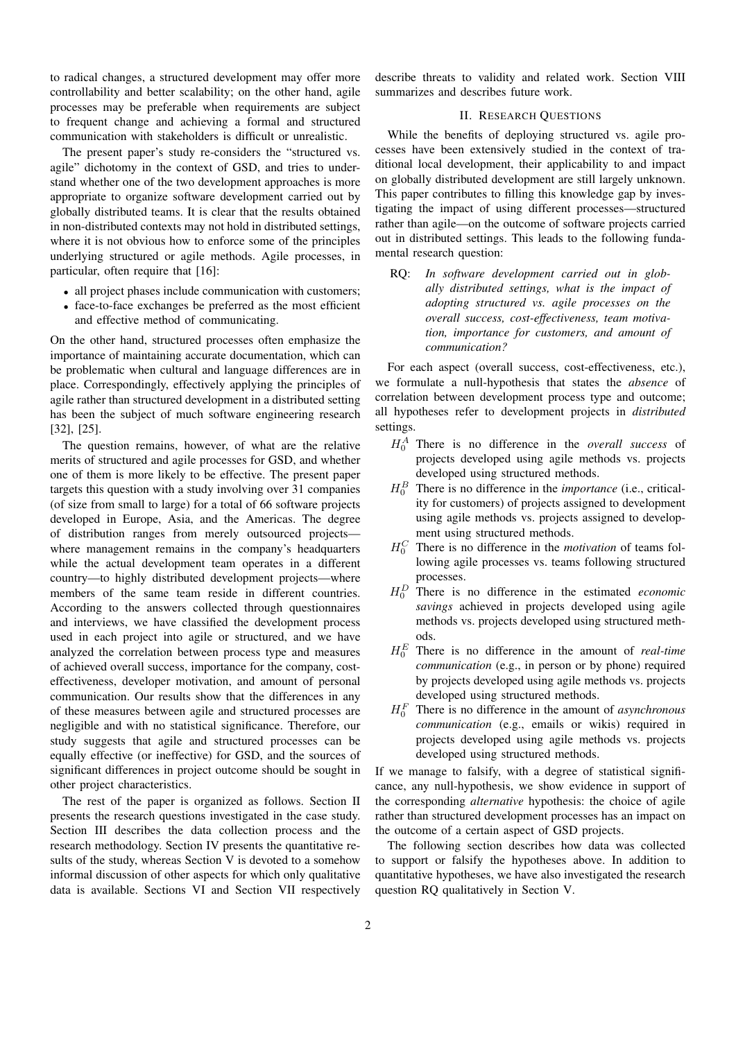to radical changes, a structured development may offer more controllability and better scalability; on the other hand, agile processes may be preferable when requirements are subject to frequent change and achieving a formal and structured communication with stakeholders is difficult or unrealistic.

The present paper's study re-considers the "structured vs. agile" dichotomy in the context of GSD, and tries to understand whether one of the two development approaches is more appropriate to organize software development carried out by globally distributed teams. It is clear that the results obtained in non-distributed contexts may not hold in distributed settings, where it is not obvious how to enforce some of the principles underlying structured or agile methods. Agile processes, in particular, often require that [16]:

- all project phases include communication with customers;
- face-to-face exchanges be preferred as the most efficient and effective method of communicating.

On the other hand, structured processes often emphasize the importance of maintaining accurate documentation, which can be problematic when cultural and language differences are in place. Correspondingly, effectively applying the principles of agile rather than structured development in a distributed setting has been the subject of much software engineering research [32], [25].

The question remains, however, of what are the relative merits of structured and agile processes for GSD, and whether one of them is more likely to be effective. The present paper targets this question with a study involving over 31 companies (of size from small to large) for a total of 66 software projects developed in Europe, Asia, and the Americas. The degree of distribution ranges from merely outsourced projects where management remains in the company's headquarters while the actual development team operates in a different country—to highly distributed development projects—where members of the same team reside in different countries. According to the answers collected through questionnaires and interviews, we have classified the development process used in each project into agile or structured, and we have analyzed the correlation between process type and measures of achieved overall success, importance for the company, costeffectiveness, developer motivation, and amount of personal communication. Our results show that the differences in any of these measures between agile and structured processes are negligible and with no statistical significance. Therefore, our study suggests that agile and structured processes can be equally effective (or ineffective) for GSD, and the sources of significant differences in project outcome should be sought in other project characteristics.

The rest of the paper is organized as follows. Section II presents the research questions investigated in the case study. Section III describes the data collection process and the research methodology. Section IV presents the quantitative results of the study, whereas Section V is devoted to a somehow informal discussion of other aspects for which only qualitative data is available. Sections VI and Section VII respectively

describe threats to validity and related work. Section VIII summarizes and describes future work.

# II. RESEARCH QUESTIONS

While the benefits of deploying structured vs. agile processes have been extensively studied in the context of traditional local development, their applicability to and impact on globally distributed development are still largely unknown. This paper contributes to filling this knowledge gap by investigating the impact of using different processes—structured rather than agile—on the outcome of software projects carried out in distributed settings. This leads to the following fundamental research question:

RQ: *In software development carried out in globally distributed settings, what is the impact of adopting structured vs. agile processes on the overall success, cost-effectiveness, team motivation, importance for customers, and amount of communication?*

For each aspect (overall success, cost-effectiveness, etc.), we formulate a null-hypothesis that states the *absence* of correlation between development process type and outcome; all hypotheses refer to development projects in *distributed* settings.

- $H_0^A$  There is no difference in the *overall success* of projects developed using agile methods vs. projects developed using structured methods.
- $H_0^B$  There is no difference in the *importance* (i.e., criticality for customers) of projects assigned to development using agile methods vs. projects assigned to development using structured methods.
- $H_0^C$  There is no difference in the *motivation* of teams following agile processes vs. teams following structured processes.
- H<sup>D</sup> <sup>0</sup> There is no difference in the estimated *economic savings* achieved in projects developed using agile methods vs. projects developed using structured methods.
- $H_0^E$  There is no difference in the amount of *real-time communication* (e.g., in person or by phone) required by projects developed using agile methods vs. projects developed using structured methods.
- $H_0^F$  There is no difference in the amount of *asynchronous communication* (e.g., emails or wikis) required in projects developed using agile methods vs. projects developed using structured methods.

If we manage to falsify, with a degree of statistical significance, any null-hypothesis, we show evidence in support of the corresponding *alternative* hypothesis: the choice of agile rather than structured development processes has an impact on the outcome of a certain aspect of GSD projects.

The following section describes how data was collected to support or falsify the hypotheses above. In addition to quantitative hypotheses, we have also investigated the research question RQ qualitatively in Section V.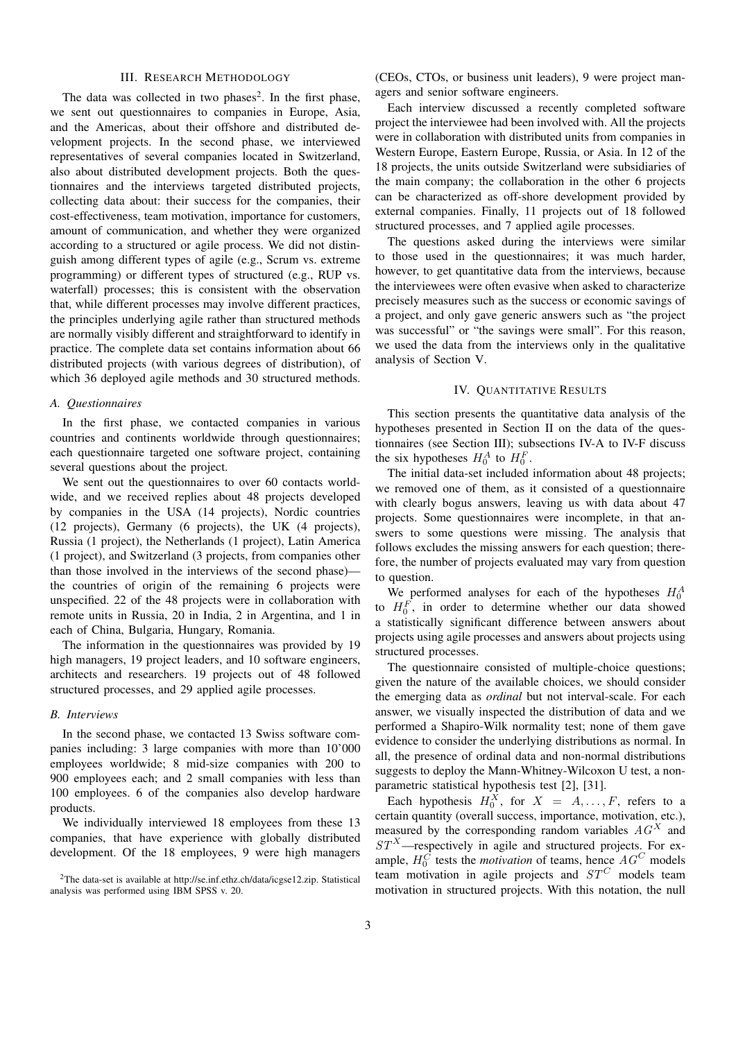# III. RESEARCH METHODOLOGY

The data was collected in two phases<sup>2</sup>. In the first phase, we sent out questionnaires to companies in Europe, Asia, and the Americas, about their offshore and distributed development projects. In the second phase, we interviewed representatives of several companies located in Switzerland, also about distributed development projects. Both the questionnaires and the interviews targeted distributed projects, collecting data about: their success for the companies, their cost-effectiveness, team motivation, importance for customers, amount of communication, and whether they were organized according to a structured or agile process. We did not distinguish among different types of agile (e.g., Scrum vs. extreme programming) or different types of structured (e.g., RUP vs. waterfall) processes; this is consistent with the observation that, while different processes may involve different practices, the principles underlying agile rather than structured methods are normally visibly different and straightforward to identify in practice. The complete data set contains information about 66 distributed projects (with various degrees of distribution), of which 36 deployed agile methods and 30 structured methods.

#### *A. Questionnaires*

In the first phase, we contacted companies in various countries and continents worldwide through questionnaires; each questionnaire targeted one software project, containing several questions about the project.

We sent out the questionnaires to over 60 contacts worldwide, and we received replies about 48 projects developed by companies in the USA (14 projects), Nordic countries (12 projects), Germany (6 projects), the UK (4 projects), Russia (1 project), the Netherlands (1 project), Latin America (1 project), and Switzerland (3 projects, from companies other than those involved in the interviews of the second phase) the countries of origin of the remaining 6 projects were unspecified. 22 of the 48 projects were in collaboration with remote units in Russia, 20 in India, 2 in Argentina, and 1 in each of China, Bulgaria, Hungary, Romania.

The information in the questionnaires was provided by 19 high managers, 19 project leaders, and 10 software engineers, architects and researchers. 19 projects out of 48 followed structured processes, and 29 applied agile processes.

#### *B. Interviews*

In the second phase, we contacted 13 Swiss software companies including: 3 large companies with more than 10'000 employees worldwide; 8 mid-size companies with 200 to 900 employees each; and 2 small companies with less than 100 employees. 6 of the companies also develop hardware products.

We individually interviewed 18 employees from these 13 companies, that have experience with globally distributed development. Of the 18 employees, 9 were high managers (CEOs, CTOs, or business unit leaders), 9 were project managers and senior software engineers.

Each interview discussed a recently completed software project the interviewee had been involved with. All the projects were in collaboration with distributed units from companies in Western Europe, Eastern Europe, Russia, or Asia. In 12 of the 18 projects, the units outside Switzerland were subsidiaries of the main company; the collaboration in the other 6 projects can be characterized as off-shore development provided by external companies. Finally, 11 projects out of 18 followed structured processes, and 7 applied agile processes.

The questions asked during the interviews were similar to those used in the questionnaires; it was much harder, however, to get quantitative data from the interviews, because the interviewees were often evasive when asked to characterize precisely measures such as the success or economic savings of a project, and only gave generic answers such as "the project was successful" or "the savings were small". For this reason, we used the data from the interviews only in the qualitative analysis of Section V.

#### IV. QUANTITATIVE RESULTS

This section presents the quantitative data analysis of the hypotheses presented in Section II on the data of the questionnaires (see Section III); subsections IV-A to IV-F discuss the six hypotheses  $H_0^A$  to  $H_0^F$ .

The initial data-set included information about 48 projects; we removed one of them, as it consisted of a questionnaire with clearly bogus answers, leaving us with data about 47 projects. Some questionnaires were incomplete, in that answers to some questions were missing. The analysis that follows excludes the missing answers for each question; therefore, the number of projects evaluated may vary from question to question.

We performed analyses for each of the hypotheses  $H_0^A$ to  $H_0^F$ , in order to determine whether our data showed a statistically significant difference between answers about projects using agile processes and answers about projects using structured processes.

The questionnaire consisted of multiple-choice questions; given the nature of the available choices, we should consider the emerging data as *ordinal* but not interval-scale. For each answer, we visually inspected the distribution of data and we performed a Shapiro-Wilk normality test; none of them gave evidence to consider the underlying distributions as normal. In all, the presence of ordinal data and non-normal distributions suggests to deploy the Mann-Whitney-Wilcoxon U test, a nonparametric statistical hypothesis test [2], [31].

Each hypothesis  $H_0^X$ , for  $X = A, \ldots, F$ , refers to a certain quantity (overall success, importance, motivation, etc.), measured by the corresponding random variables  $AG^X$  and  $ST^{X}$ —respectively in agile and structured projects. For example,  $H_0^C$  tests the *motivation* of teams, hence  $AG^C$  models team motivation in agile projects and  $ST^C$  models team motivation in structured projects. With this notation, the null

<sup>2</sup>The data-set is available at http://se.inf.ethz.ch/data/icgse12.zip. Statistical analysis was performed using IBM SPSS v. 20.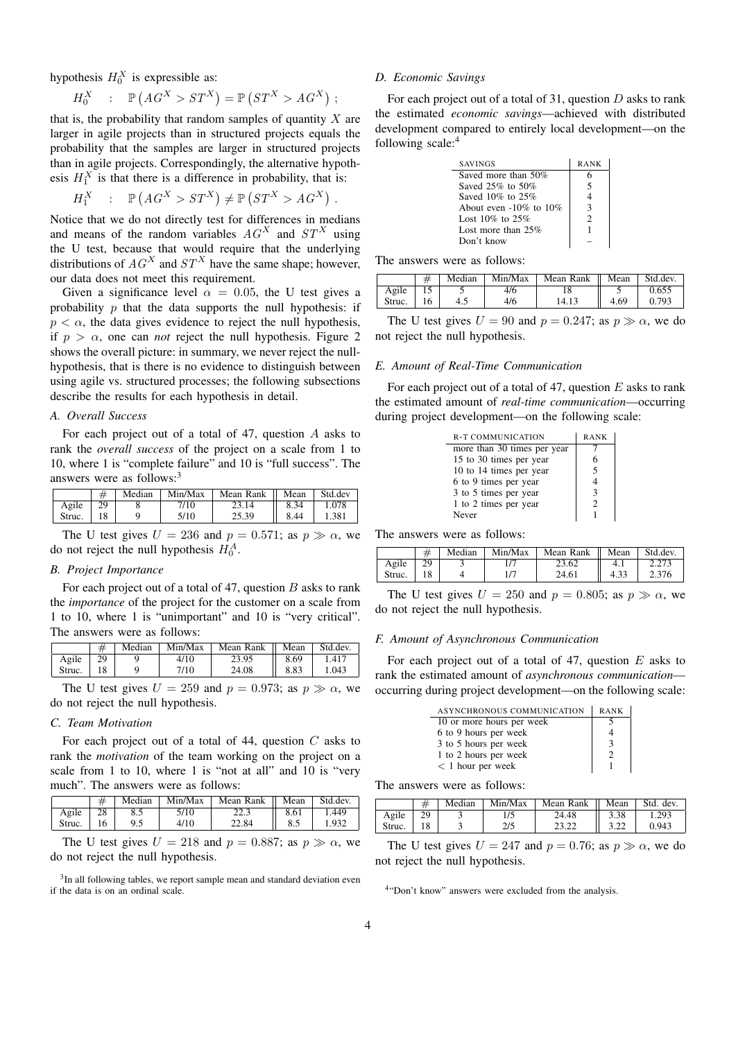hypothesis  $H_0^X$  is expressible as:

$$
H_0^X : \mathbb{P}\left(AG^X > ST^X\right) = \mathbb{P}\left(ST^X > AG^X\right);
$$

that is, the probability that random samples of quantity  $X$  are larger in agile projects than in structured projects equals the probability that the samples are larger in structured projects than in agile projects. Correspondingly, the alternative hypothesis  $H_1^X$  is that there is a difference in probability, that is:

$$
H_1^X : \mathbb{P}(AG^X > ST^X) \neq \mathbb{P}(ST^X > AG^X)
$$

Notice that we do not directly test for differences in medians and means of the random variables  $AG^X$  and  $ST^X$  using the U test, because that would require that the underlying distributions of  $AG<sup>X</sup>$  and  $ST<sup>X</sup>$  have the same shape; however, our data does not meet this requirement.

Given a significance level  $\alpha = 0.05$ , the U test gives a probability  $p$  that the data supports the null hypothesis: if  $p < \alpha$ , the data gives evidence to reject the null hypothesis, if  $p > \alpha$ , one can *not* reject the null hypothesis. Figure 2 shows the overall picture: in summary, we never reject the nullhypothesis, that is there is no evidence to distinguish between using agile vs. structured processes; the following subsections describe the results for each hypothesis in detail.

# *A. Overall Success*

For each project out of a total of 47, question A asks to rank the *overall success* of the project on a scale from 1 to 10, where 1 is "complete failure" and 10 is "full success". The answers were as follows:<sup>3</sup>

|        |    | Median | Min/Max | Mean Rank | Mean | Std.dev |
|--------|----|--------|---------|-----------|------|---------|
| Agile  | 29 |        | 7/10    | 23.14     | 8.34 | 1.078   |
| Struc. |    |        | 5/10    | 25.39     | 8.44 | .381    |

The U test gives  $U = 236$  and  $p = 0.571$ ; as  $p \gg \alpha$ , we do not reject the null hypothesis  $H_0^A$ .

## *B. Project Importance*

For each project out of a total of 47, question  $B$  asks to rank the *importance* of the project for the customer on a scale from 1 to 10, where 1 is "unimportant" and 10 is "very critical". The answers were as follows:

|                   | # | Median   Min/Max | Mean Rank    Mean |      | Std.dev. |
|-------------------|---|------------------|-------------------|------|----------|
| Agile   29        |   | 4/10             | 23.95             | 8.69 | 1.417    |
| Struc. $\vert$ 18 |   | 7/10             | 24.08             | 8.83 | 1.043    |

The U test gives  $U = 259$  and  $p = 0.973$ ; as  $p \gg \alpha$ , we do not reject the null hypothesis.

# *C. Team Motivation*

For each project out of a total of 44, question  $C$  asks to rank the *motivation* of the team working on the project on a scale from 1 to 10, where 1 is "not at all" and 10 is "very much". The answers were as follows:

|        |    | Median | Min/Max | Mean Rank $  $ | Mean | Std.dev. |
|--------|----|--------|---------|----------------|------|----------|
| Agile  | 28 | 8.5    | 5/10    | 22.3           | 8.61 | 1.449    |
| Struc. | 16 | 9.5    | 4/10    | 22.84          | 8.5  | 1.932    |

The U test gives  $U = 218$  and  $p = 0.887$ ; as  $p \gg \alpha$ , we do not reject the null hypothesis.

<sup>3</sup>In all following tables, we report sample mean and standard deviation even if the data is on an ordinal scale.

## *D. Economic Savings*

.

For each project out of a total of 31, question  $D$  asks to rank the estimated *economic savings*—achieved with distributed development compared to entirely local development—on the following scale:<sup>4</sup>

| <b>SAVINGS</b>               | <b>RANK</b> |
|------------------------------|-------------|
| Saved more than 50%          |             |
| Saved 25% to 50%             | 5           |
| Saved 10% to 25%             |             |
| About even $-10\%$ to $10\%$ | 3           |
| Lost $10\%$ to $25\%$        | 2           |
| Lost more than $25\%$        |             |
| Don't know                   |             |

The answers were as follows:

|        | $_{\pm}$ | Median | Min/Max | Mean Rank    Mean |      | Std.dev. |
|--------|----------|--------|---------|-------------------|------|----------|
| Agile  |          |        | 4/6     |                   |      | 0.655    |
| Struc. | 16       | 4.5    | 4/6     | 14.13             | 4.69 | 0.793    |

The U test gives  $U = 90$  and  $p = 0.247$ ; as  $p \gg \alpha$ , we do not reject the null hypothesis.

#### *E. Amount of Real-Time Communication*

For each project out of a total of 47, question  $E$  asks to rank the estimated amount of *real-time communication*—occurring during project development—on the following scale:

| <b>R-T COMMUNICATION</b>    | <b>RANK</b> |
|-----------------------------|-------------|
| more than 30 times per year |             |
| 15 to 30 times per year     | 6           |
| 10 to 14 times per year     | 5           |
| 6 to 9 times per year       |             |
| 3 to 5 times per year       | 3           |
| 1 to 2 times per year       | 2           |
| Never                       |             |

The answers were as follows:

|        |    | Median | Min/Max | Mean Rank | Mean | Std.dev.              |
|--------|----|--------|---------|-----------|------|-----------------------|
| Agile  | 20 |        |         | 23.62     | 4.1  | 2.272<br>۵. <i>۴.</i> |
| Struc. |    |        | 1/7     | 24.61     | 4.33 | 2.376                 |

The U test gives  $U = 250$  and  $p = 0.805$ ; as  $p \gg \alpha$ , we do not reject the null hypothesis.

#### *F. Amount of Asynchronous Communication*

For each project out of a total of 47, question  $E$  asks to rank the estimated amount of *asynchronous communication* occurring during project development—on the following scale:

| ASYNCHRONOUS COMMUNICATION | RANK          |
|----------------------------|---------------|
| 10 or more hours per week  |               |
| 6 to 9 hours per week      |               |
| 3 to 5 hours per week      | $\mathcal{R}$ |
| 1 to 2 hours per week      |               |
| $<$ 1 hour per week        |               |

The answers were as follows:

|        |    | Median | Min/Max | Mean Rank | Mean<br>Ш | Std. dev. |
|--------|----|--------|---------|-----------|-----------|-----------|
| Agile  | າດ |        |         | 24.48     | 3.38      | 1.293     |
| Struc. |    |        | 2/5     |           |           | 0.943     |

The U test gives  $U = 247$  and  $p = 0.76$ ; as  $p \gg \alpha$ , we do not reject the null hypothesis.

4 "Don't know" answers were excluded from the analysis.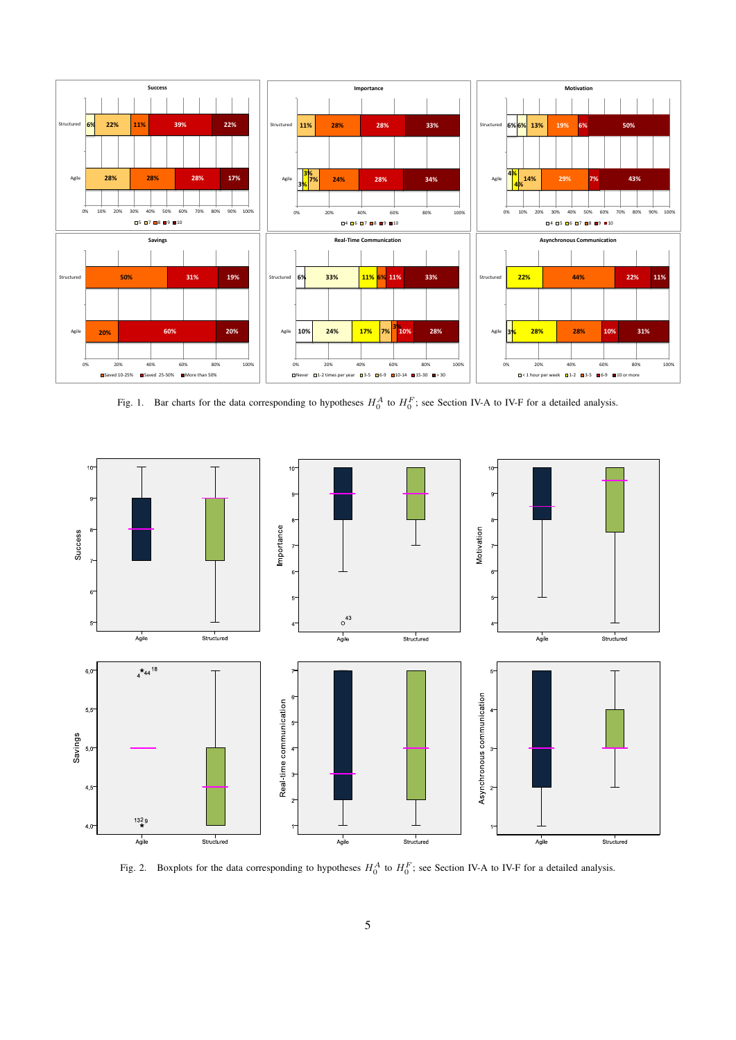

Fig. 1. Bar charts for the data corresponding to hypotheses  $H_0^A$  to  $H_0^F$ ; see Section IV-A to IV-F for a detailed analysis.



Fig. 2. Boxplots for the data corresponding to hypotheses  $H_0^A$  to  $H_0^F$ ; see Section IV-A to IV-F for a detailed analysis.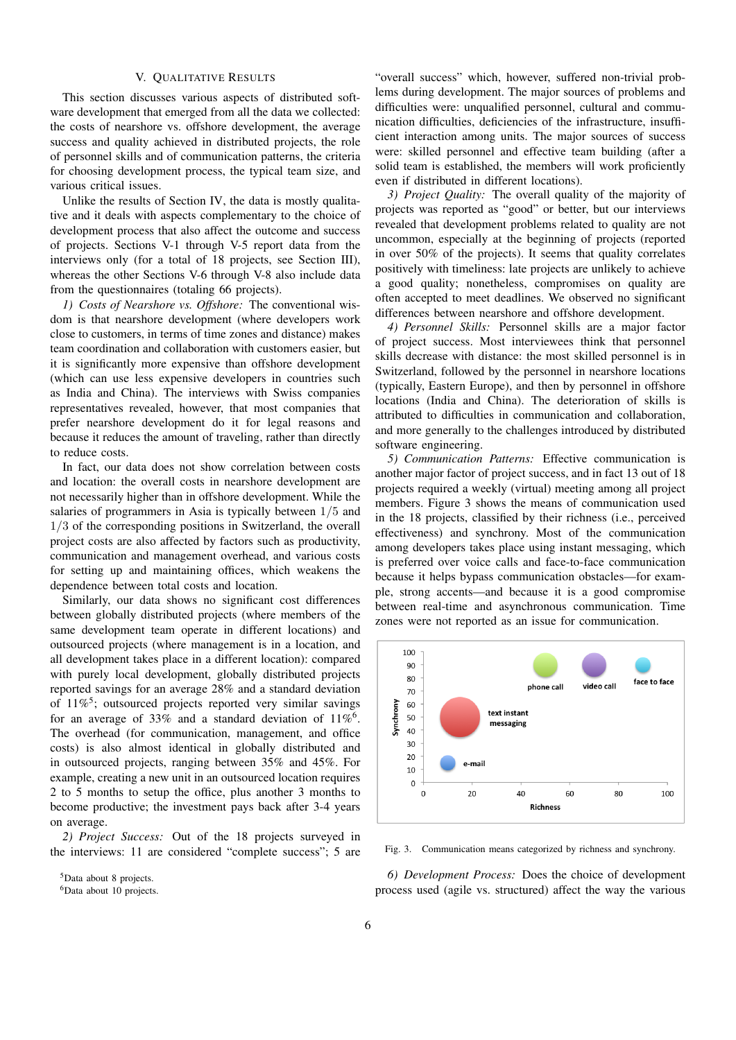#### V. QUALITATIVE RESULTS

This section discusses various aspects of distributed software development that emerged from all the data we collected: the costs of nearshore vs. offshore development, the average success and quality achieved in distributed projects, the role of personnel skills and of communication patterns, the criteria for choosing development process, the typical team size, and various critical issues.

Unlike the results of Section IV, the data is mostly qualitative and it deals with aspects complementary to the choice of development process that also affect the outcome and success of projects. Sections V-1 through V-5 report data from the interviews only (for a total of 18 projects, see Section III), whereas the other Sections V-6 through V-8 also include data from the questionnaires (totaling 66 projects).

*1) Costs of Nearshore vs. Offshore:* The conventional wisdom is that nearshore development (where developers work close to customers, in terms of time zones and distance) makes team coordination and collaboration with customers easier, but it is significantly more expensive than offshore development (which can use less expensive developers in countries such as India and China). The interviews with Swiss companies representatives revealed, however, that most companies that prefer nearshore development do it for legal reasons and because it reduces the amount of traveling, rather than directly to reduce costs.

In fact, our data does not show correlation between costs and location: the overall costs in nearshore development are not necessarily higher than in offshore development. While the salaries of programmers in Asia is typically between 1/5 and 1/3 of the corresponding positions in Switzerland, the overall project costs are also affected by factors such as productivity, communication and management overhead, and various costs for setting up and maintaining offices, which weakens the dependence between total costs and location.

Similarly, our data shows no significant cost differences between globally distributed projects (where members of the same development team operate in different locations) and outsourced projects (where management is in a location, and all development takes place in a different location): compared with purely local development, globally distributed projects reported savings for an average 28% and a standard deviation of 11%<sup>5</sup>; outsourced projects reported very similar savings for an average of 33% and a standard deviation of  $11\%$ <sup>6</sup>. The overhead (for communication, management, and office costs) is also almost identical in globally distributed and in outsourced projects, ranging between 35% and 45%. For example, creating a new unit in an outsourced location requires 2 to 5 months to setup the office, plus another 3 months to become productive; the investment pays back after 3-4 years on average.

*2) Project Success:* Out of the 18 projects surveyed in the interviews: 11 are considered "complete success"; 5 are

<sup>5</sup>Data about 8 projects.

"overall success" which, however, suffered non-trivial problems during development. The major sources of problems and difficulties were: unqualified personnel, cultural and communication difficulties, deficiencies of the infrastructure, insufficient interaction among units. The major sources of success were: skilled personnel and effective team building (after a solid team is established, the members will work proficiently even if distributed in different locations).

*3) Project Quality:* The overall quality of the majority of projects was reported as "good" or better, but our interviews revealed that development problems related to quality are not uncommon, especially at the beginning of projects (reported in over 50% of the projects). It seems that quality correlates positively with timeliness: late projects are unlikely to achieve a good quality; nonetheless, compromises on quality are often accepted to meet deadlines. We observed no significant differences between nearshore and offshore development.

*4) Personnel Skills:* Personnel skills are a major factor of project success. Most interviewees think that personnel skills decrease with distance: the most skilled personnel is in Switzerland, followed by the personnel in nearshore locations (typically, Eastern Europe), and then by personnel in offshore locations (India and China). The deterioration of skills is attributed to difficulties in communication and collaboration, and more generally to the challenges introduced by distributed software engineering.

*5) Communication Patterns:* Effective communication is another major factor of project success, and in fact 13 out of 18 projects required a weekly (virtual) meeting among all project members. Figure 3 shows the means of communication used in the 18 projects, classified by their richness (i.e., perceived effectiveness) and synchrony. Most of the communication among developers takes place using instant messaging, which is preferred over voice calls and face-to-face communication because it helps bypass communication obstacles—for example, strong accents—and because it is a good compromise between real-time and asynchronous communication. Time zones were not reported as an issue for communication.



Fig. 3. Communication means categorized by richness and synchrony.

*6) Development Process:* Does the choice of development process used (agile vs. structured) affect the way the various

<sup>6</sup>Data about 10 projects.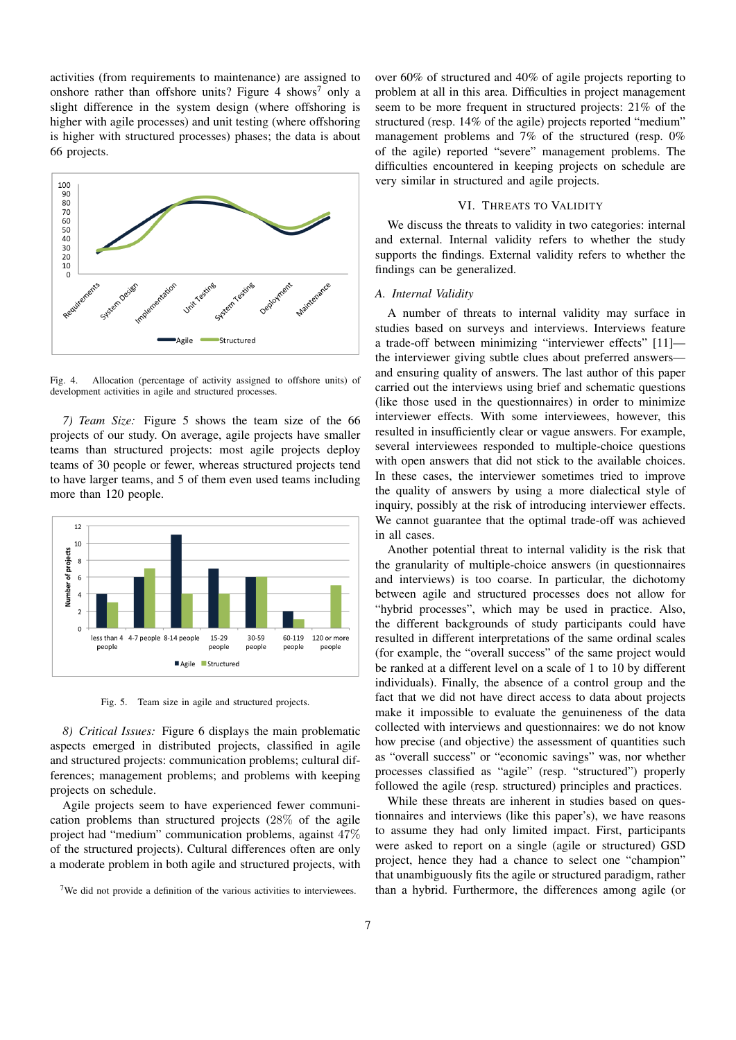activities (from requirements to maintenance) are assigned to onshore rather than offshore units? Figure 4 shows<sup>7</sup> only a slight difference in the system design (where offshoring is higher with agile processes) and unit testing (where offshoring is higher with structured processes) phases; the data is about 66 projects.



Fig. 4. Allocation (percentage of activity assigned to offshore units) of development activities in agile and structured processes.

*7) Team Size:* Figure 5 shows the team size of the 66 projects of our study. On average, agile projects have smaller teams than structured projects: most agile projects deploy teams of 30 people or fewer, whereas structured projects tend to have larger teams, and 5 of them even used teams including more than 120 people.



Fig. 5. Team size in agile and structured projects.

*8) Critical Issues:* Figure 6 displays the main problematic aspects emerged in distributed projects, classified in agile and structured projects: communication problems; cultural differences; management problems; and problems with keeping projects on schedule.

Agile projects seem to have experienced fewer communication problems than structured projects (28% of the agile project had "medium" communication problems, against 47% of the structured projects). Cultural differences often are only a moderate problem in both agile and structured projects, with

<sup>7</sup>We did not provide a definition of the various activities to interviewees.

over 60% of structured and 40% of agile projects reporting to problem at all in this area. Difficulties in project management seem to be more frequent in structured projects: 21% of the structured (resp. 14% of the agile) projects reported "medium" management problems and 7% of the structured (resp. 0% of the agile) reported "severe" management problems. The difficulties encountered in keeping projects on schedule are very similar in structured and agile projects.

## VI. THREATS TO VALIDITY

We discuss the threats to validity in two categories: internal and external. Internal validity refers to whether the study supports the findings. External validity refers to whether the findings can be generalized.

#### *A. Internal Validity*

A number of threats to internal validity may surface in studies based on surveys and interviews. Interviews feature a trade-off between minimizing "interviewer effects" [11] the interviewer giving subtle clues about preferred answers and ensuring quality of answers. The last author of this paper carried out the interviews using brief and schematic questions (like those used in the questionnaires) in order to minimize interviewer effects. With some interviewees, however, this resulted in insufficiently clear or vague answers. For example, several interviewees responded to multiple-choice questions with open answers that did not stick to the available choices. In these cases, the interviewer sometimes tried to improve the quality of answers by using a more dialectical style of inquiry, possibly at the risk of introducing interviewer effects. We cannot guarantee that the optimal trade-off was achieved in all cases.

Another potential threat to internal validity is the risk that the granularity of multiple-choice answers (in questionnaires and interviews) is too coarse. In particular, the dichotomy between agile and structured processes does not allow for "hybrid processes", which may be used in practice. Also, the different backgrounds of study participants could have resulted in different interpretations of the same ordinal scales (for example, the "overall success" of the same project would be ranked at a different level on a scale of 1 to 10 by different individuals). Finally, the absence of a control group and the fact that we did not have direct access to data about projects make it impossible to evaluate the genuineness of the data collected with interviews and questionnaires: we do not know how precise (and objective) the assessment of quantities such as "overall success" or "economic savings" was, nor whether processes classified as "agile" (resp. "structured") properly followed the agile (resp. structured) principles and practices.

While these threats are inherent in studies based on questionnaires and interviews (like this paper's), we have reasons to assume they had only limited impact. First, participants were asked to report on a single (agile or structured) GSD project, hence they had a chance to select one "champion" that unambiguously fits the agile or structured paradigm, rather than a hybrid. Furthermore, the differences among agile (or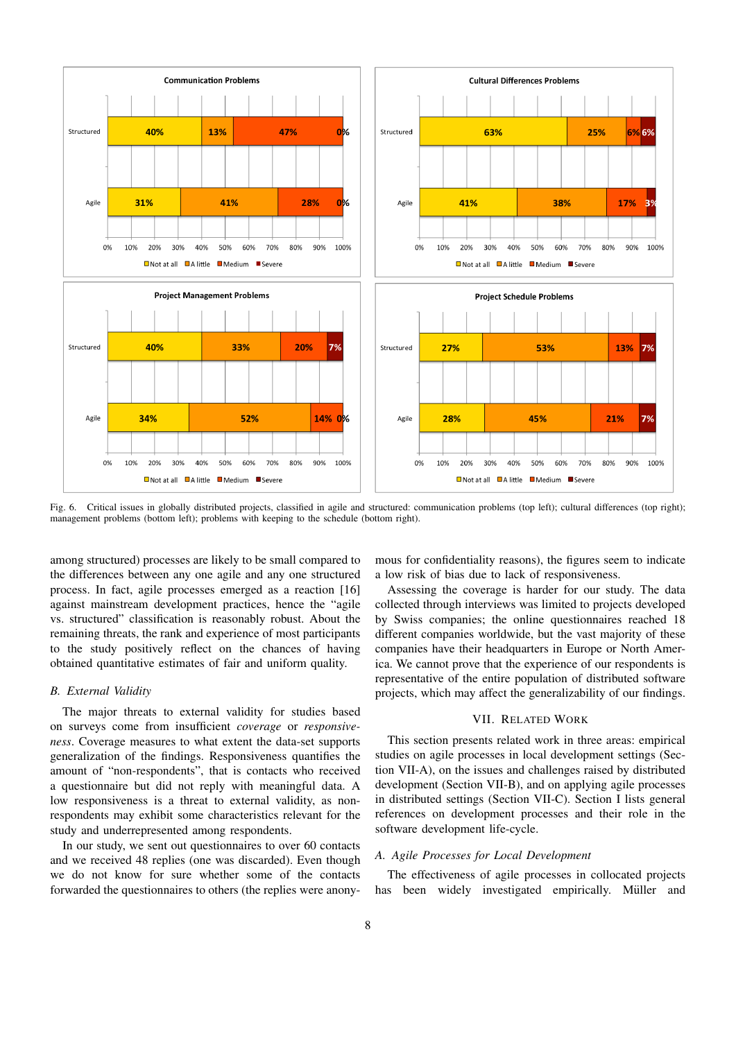

Fig. 6. Critical issues in globally distributed projects, classified in agile and structured: communication problems (top left); cultural differences (top right); management problems (bottom left); problems with keeping to the schedule (bottom right).

among structured) processes are likely to be small compared to the differences between any one agile and any one structured process. In fact, agile processes emerged as a reaction [16] against mainstream development practices, hence the "agile vs. structured" classification is reasonably robust. About the remaining threats, the rank and experience of most participants to the study positively reflect on the chances of having obtained quantitative estimates of fair and uniform quality.

#### *B. External Validity*

The major threats to external validity for studies based on surveys come from insufficient *coverage* or *responsiveness*. Coverage measures to what extent the data-set supports generalization of the findings. Responsiveness quantifies the amount of "non-respondents", that is contacts who received a questionnaire but did not reply with meaningful data. A low responsiveness is a threat to external validity, as nonrespondents may exhibit some characteristics relevant for the study and underrepresented among respondents.

In our study, we sent out questionnaires to over 60 contacts and we received 48 replies (one was discarded). Even though we do not know for sure whether some of the contacts forwarded the questionnaires to others (the replies were anony-

mous for confidentiality reasons), the figures seem to indicate a low risk of bias due to lack of responsiveness.

Assessing the coverage is harder for our study. The data collected through interviews was limited to projects developed by Swiss companies; the online questionnaires reached 18 different companies worldwide, but the vast majority of these companies have their headquarters in Europe or North America. We cannot prove that the experience of our respondents is representative of the entire population of distributed software projects, which may affect the generalizability of our findings.

#### VII. RELATED WORK

This section presents related work in three areas: empirical studies on agile processes in local development settings (Section VII-A), on the issues and challenges raised by distributed development (Section VII-B), and on applying agile processes in distributed settings (Section VII-C). Section I lists general references on development processes and their role in the software development life-cycle.

#### *A. Agile Processes for Local Development*

The effectiveness of agile processes in collocated projects has been widely investigated empirically. Müller and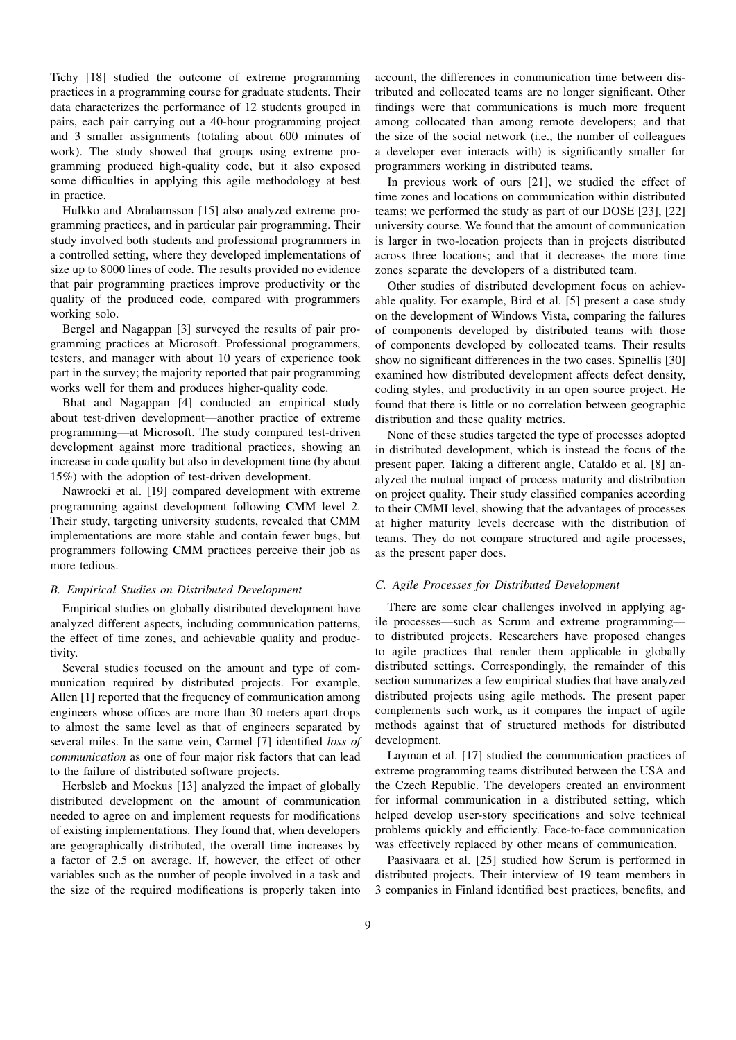Tichy [18] studied the outcome of extreme programming practices in a programming course for graduate students. Their data characterizes the performance of 12 students grouped in pairs, each pair carrying out a 40-hour programming project and 3 smaller assignments (totaling about 600 minutes of work). The study showed that groups using extreme programming produced high-quality code, but it also exposed some difficulties in applying this agile methodology at best in practice.

Hulkko and Abrahamsson [15] also analyzed extreme programming practices, and in particular pair programming. Their study involved both students and professional programmers in a controlled setting, where they developed implementations of size up to 8000 lines of code. The results provided no evidence that pair programming practices improve productivity or the quality of the produced code, compared with programmers working solo.

Bergel and Nagappan [3] surveyed the results of pair programming practices at Microsoft. Professional programmers, testers, and manager with about 10 years of experience took part in the survey; the majority reported that pair programming works well for them and produces higher-quality code.

Bhat and Nagappan [4] conducted an empirical study about test-driven development—another practice of extreme programming—at Microsoft. The study compared test-driven development against more traditional practices, showing an increase in code quality but also in development time (by about 15%) with the adoption of test-driven development.

Nawrocki et al. [19] compared development with extreme programming against development following CMM level 2. Their study, targeting university students, revealed that CMM implementations are more stable and contain fewer bugs, but programmers following CMM practices perceive their job as more tedious.

#### *B. Empirical Studies on Distributed Development*

Empirical studies on globally distributed development have analyzed different aspects, including communication patterns, the effect of time zones, and achievable quality and productivity.

Several studies focused on the amount and type of communication required by distributed projects. For example, Allen [1] reported that the frequency of communication among engineers whose offices are more than 30 meters apart drops to almost the same level as that of engineers separated by several miles. In the same vein, Carmel [7] identified *loss of communication* as one of four major risk factors that can lead to the failure of distributed software projects.

Herbsleb and Mockus [13] analyzed the impact of globally distributed development on the amount of communication needed to agree on and implement requests for modifications of existing implementations. They found that, when developers are geographically distributed, the overall time increases by a factor of 2.5 on average. If, however, the effect of other variables such as the number of people involved in a task and the size of the required modifications is properly taken into

account, the differences in communication time between distributed and collocated teams are no longer significant. Other findings were that communications is much more frequent among collocated than among remote developers; and that the size of the social network (i.e., the number of colleagues a developer ever interacts with) is significantly smaller for programmers working in distributed teams.

In previous work of ours [21], we studied the effect of time zones and locations on communication within distributed teams; we performed the study as part of our DOSE [23], [22] university course. We found that the amount of communication is larger in two-location projects than in projects distributed across three locations; and that it decreases the more time zones separate the developers of a distributed team.

Other studies of distributed development focus on achievable quality. For example, Bird et al. [5] present a case study on the development of Windows Vista, comparing the failures of components developed by distributed teams with those of components developed by collocated teams. Their results show no significant differences in the two cases. Spinellis [30] examined how distributed development affects defect density, coding styles, and productivity in an open source project. He found that there is little or no correlation between geographic distribution and these quality metrics.

None of these studies targeted the type of processes adopted in distributed development, which is instead the focus of the present paper. Taking a different angle, Cataldo et al. [8] analyzed the mutual impact of process maturity and distribution on project quality. Their study classified companies according to their CMMI level, showing that the advantages of processes at higher maturity levels decrease with the distribution of teams. They do not compare structured and agile processes, as the present paper does.

#### *C. Agile Processes for Distributed Development*

There are some clear challenges involved in applying agile processes—such as Scrum and extreme programming to distributed projects. Researchers have proposed changes to agile practices that render them applicable in globally distributed settings. Correspondingly, the remainder of this section summarizes a few empirical studies that have analyzed distributed projects using agile methods. The present paper complements such work, as it compares the impact of agile methods against that of structured methods for distributed development.

Layman et al. [17] studied the communication practices of extreme programming teams distributed between the USA and the Czech Republic. The developers created an environment for informal communication in a distributed setting, which helped develop user-story specifications and solve technical problems quickly and efficiently. Face-to-face communication was effectively replaced by other means of communication.

Paasivaara et al. [25] studied how Scrum is performed in distributed projects. Their interview of 19 team members in 3 companies in Finland identified best practices, benefits, and